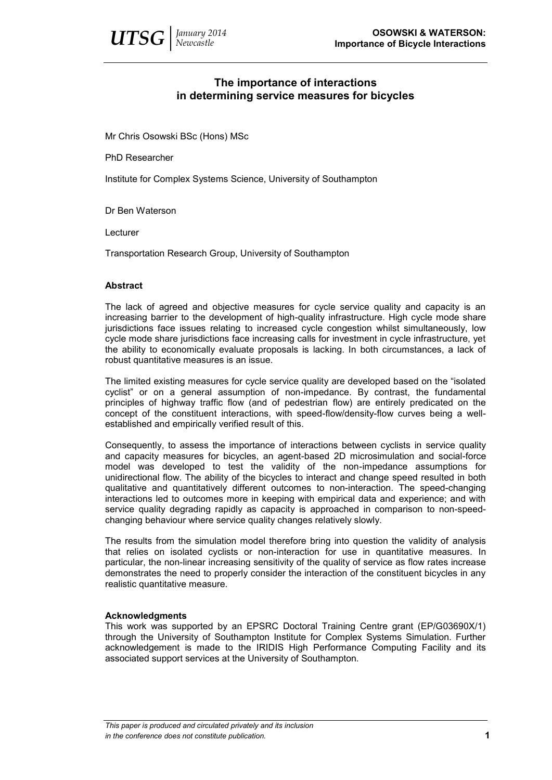# **The importance of interactions in determining service measures for bicycles**

Mr Chris Osowski BSc (Hons) MSc

PhD Researcher

Institute for Complex Systems Science, University of Southampton

Dr Ben Waterson

Lecturer

Transportation Research Group, University of Southampton

## **Abstract**

The lack of agreed and objective measures for cycle service quality and capacity is an increasing barrier to the development of high-quality infrastructure. High cycle mode share jurisdictions face issues relating to increased cycle congestion whilst simultaneously, low cycle mode share jurisdictions face increasing calls for investment in cycle infrastructure, yet the ability to economically evaluate proposals is lacking. In both circumstances, a lack of robust quantitative measures is an issue.

The limited existing measures for cycle service quality are developed based on the "isolated cyclist" or on a general assumption of non-impedance. By contrast, the fundamental principles of highway traffic flow (and of pedestrian flow) are entirely predicated on the concept of the constituent interactions, with speed-flow/density-flow curves being a wellestablished and empirically verified result of this.

Consequently, to assess the importance of interactions between cyclists in service quality and capacity measures for bicycles, an agent-based 2D microsimulation and social-force model was developed to test the validity of the non-impedance assumptions for unidirectional flow. The ability of the bicycles to interact and change speed resulted in both qualitative and quantitatively different outcomes to non-interaction. The speed-changing interactions led to outcomes more in keeping with empirical data and experience; and with service quality degrading rapidly as capacity is approached in comparison to non-speedchanging behaviour where service quality changes relatively slowly.

The results from the simulation model therefore bring into question the validity of analysis that relies on isolated cyclists or non-interaction for use in quantitative measures. In particular, the non-linear increasing sensitivity of the quality of service as flow rates increase demonstrates the need to properly consider the interaction of the constituent bicycles in any realistic quantitative measure.

## **Acknowledgments**

This work was supported by an EPSRC Doctoral Training Centre grant (EP/G03690X/1) through the University of Southampton Institute for Complex Systems Simulation. Further acknowledgement is made to the IRIDIS High Performance Computing Facility and its associated support services at the University of Southampton.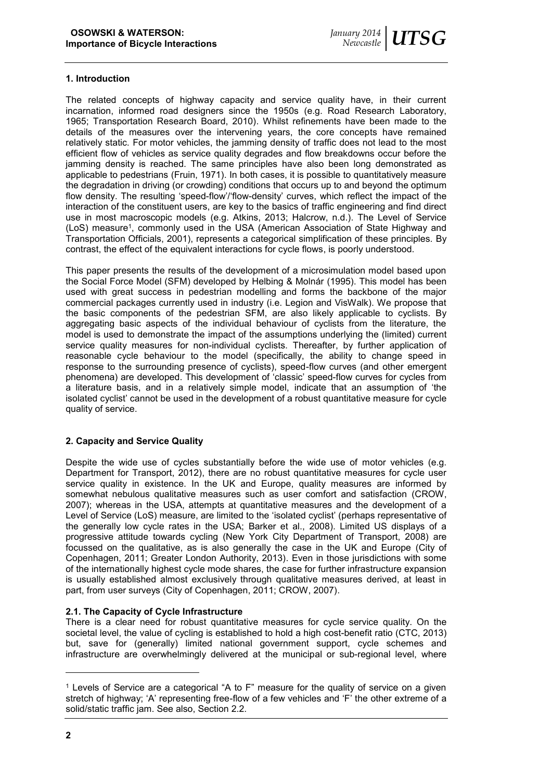## **1. Introduction**

The related concepts of highway capacity and service quality have, in their current incarnation, informed road designers since the 1950s (e.g. Road Research Laboratory, 1965; Transportation Research Board, 2010). Whilst refinements have been made to the details of the measures over the intervening years, the core concepts have remained relatively static. For motor vehicles, the jamming density of traffic does not lead to the most efficient flow of vehicles as service quality degrades and flow breakdowns occur before the jamming density is reached. The same principles have also been long demonstrated as applicable to pedestrians (Fruin, 1971). In both cases, it is possible to quantitatively measure the degradation in driving (or crowding) conditions that occurs up to and beyond the optimum flow density. The resulting 'speed-flow'/'flow-density' curves, which reflect the impact of the interaction of the constituent users, are key to the basics of traffic engineering and find direct use in most macroscopic models (e.g. Atkins, 2013; Halcrow, n.d.). The Level of Service (LoS) measure<sup>1</sup>, commonly used in the USA (American Association of State Highway and Transportation Officials, 2001), represents a categorical simplification of these principles. By contrast, the effect of the equivalent interactions for cycle flows, is poorly understood.

This paper presents the results of the development of a microsimulation model based upon the Social Force Model (SFM) developed by Helbing & Molnár (1995). This model has been used with great success in pedestrian modelling and forms the backbone of the major commercial packages currently used in industry (i.e. Legion and VisWalk). We propose that the basic components of the pedestrian SFM, are also likely applicable to cyclists. By aggregating basic aspects of the individual behaviour of cyclists from the literature, the model is used to demonstrate the impact of the assumptions underlying the (limited) current service quality measures for non-individual cyclists. Thereafter, by further application of reasonable cycle behaviour to the model (specifically, the ability to change speed in response to the surrounding presence of cyclists), speed-flow curves (and other emergent phenomena) are developed. This development of 'classic' speed-flow curves for cycles from a literature basis, and in a relatively simple model, indicate that an assumption of 'the isolated cyclist' cannot be used in the development of a robust quantitative measure for cycle quality of service.

## **2. Capacity and Service Quality**

Despite the wide use of cycles substantially before the wide use of motor vehicles (e.g. Department for Transport, 2012), there are no robust quantitative measures for cycle user service quality in existence. In the UK and Europe, quality measures are informed by somewhat nebulous qualitative measures such as user comfort and satisfaction (CROW, 2007); whereas in the USA, attempts at quantitative measures and the development of a Level of Service (LoS) measure, are limited to the 'isolated cyclist' (perhaps representative of the generally low cycle rates in the USA; Barker et al., 2008). Limited US displays of a progressive attitude towards cycling (New York City Department of Transport, 2008) are focussed on the qualitative, as is also generally the case in the UK and Europe (City of Copenhagen, 2011; Greater London Authority, 2013). Even in those jurisdictions with some of the internationally highest cycle mode shares, the case for further infrastructure expansion is usually established almost exclusively through qualitative measures derived, at least in part, from user surveys (City of Copenhagen, 2011; CROW, 2007).

# **2.1. The Capacity of Cycle Infrastructure**

There is a clear need for robust quantitative measures for cycle service quality. On the societal level, the value of cycling is established to hold a high cost-benefit ratio (CTC, 2013) but, save for (generally) limited national government support, cycle schemes and infrastructure are overwhelmingly delivered at the municipal or sub-regional level, where

l

<sup>&</sup>lt;sup>1</sup> Levels of Service are a categorical "A to F" measure for the quality of service on a given stretch of highway; 'A' representing free-flow of a few vehicles and 'F' the other extreme of a solid/static traffic jam. See also, Section 2.2.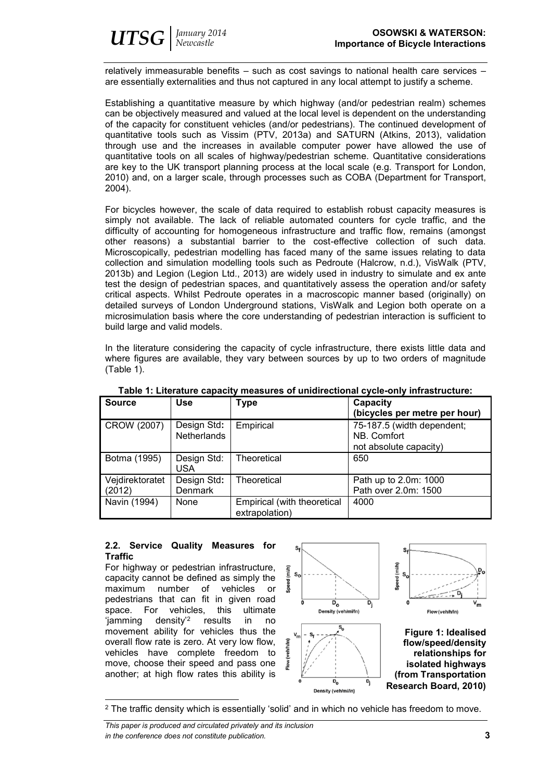relatively immeasurable benefits – such as cost savings to national health care services are essentially externalities and thus not captured in any local attempt to justify a scheme.

Establishing a quantitative measure by which highway (and/or pedestrian realm) schemes can be objectively measured and valued at the local level is dependent on the understanding of the capacity for constituent vehicles (and/or pedestrians). The continued development of quantitative tools such as Vissim (PTV, 2013a) and SATURN (Atkins, 2013), validation through use and the increases in available computer power have allowed the use of quantitative tools on all scales of highway/pedestrian scheme. Quantitative considerations are key to the UK transport planning process at the local scale (e.g. Transport for London, 2010) and, on a larger scale, through processes such as COBA (Department for Transport, 2004).

For bicycles however, the scale of data required to establish robust capacity measures is simply not available. The lack of reliable automated counters for cycle traffic, and the difficulty of accounting for homogeneous infrastructure and traffic flow, remains (amongst other reasons) a substantial barrier to the cost-effective collection of such data. Microscopically, pedestrian modelling has faced many of the same issues relating to data collection and simulation modelling tools such as Pedroute (Halcrow, n.d.), VisWalk (PTV, 2013b) and Legion (Legion Ltd., 2013) are widely used in industry to simulate and ex ante test the design of pedestrian spaces, and quantitatively assess the operation and/or safety critical aspects. Whilst Pedroute operates in a macroscopic manner based (originally) on detailed surveys of London Underground stations, VisWalk and Legion both operate on a microsimulation basis where the core understanding of pedestrian interaction is sufficient to build large and valid models.

In the literature considering the capacity of cycle infrastructure, there exists little data and where figures are available, they vary between sources by up to two orders of magnitude (Table 1).

| <b>Source</b>             | <b>Use</b>                        | <b>Type</b>                                   | Capacity<br>(bicycles per metre per hour)                           |  |
|---------------------------|-----------------------------------|-----------------------------------------------|---------------------------------------------------------------------|--|
| CROW (2007)               | Design Std:<br><b>Netherlands</b> | Empirical                                     | 75-187.5 (width dependent;<br>NB. Comfort<br>not absolute capacity) |  |
| Botma (1995)              | Design Std:<br><b>USA</b>         | Theoretical                                   | 650                                                                 |  |
| Vejdirektoratet<br>(2012) | Design Std:<br><b>Denmark</b>     | Theoretical                                   | Path up to 2.0m: 1000<br>Path over 2.0m: 1500                       |  |
| Navin (1994)              | None                              | Empirical (with theoretical<br>extrapolation) | 4000                                                                |  |

**Table 1: Literature capacity measures of unidirectional cycle-only infrastructure:**

## **2.2. Service Quality Measures for Traffic**

For highway or pedestrian infrastructure, capacity cannot be defined as simply the maximum number of vehicles or pedestrians that can fit in given road space. For vehicles, this ultimate 'jamming density'<sup>2</sup> results in no movement ability for vehicles thus the overall flow rate is zero. At very low flow, vehicles have complete freedom to move, choose their speed and pass one another; at high flow rates this ability is

l



<sup>2</sup> The traffic density which is essentially 'solid' and in which no vehicle has freedom to move.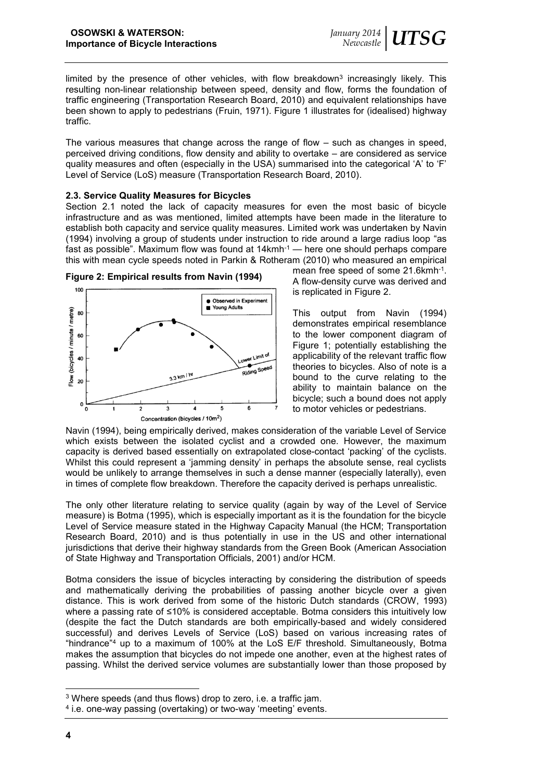limited by the presence of other vehicles, with flow breakdown<sup>3</sup> increasingly likely. This resulting non-linear relationship between speed, density and flow, forms the foundation of traffic engineering (Transportation Research Board, 2010) and equivalent relationships have been shown to apply to pedestrians (Fruin, 1971). Figure 1 illustrates for (idealised) highway traffic.

The various measures that change across the range of flow – such as changes in speed, perceived driving conditions, flow density and ability to overtake – are considered as service quality measures and often (especially in the USA) summarised into the categorical 'A' to 'F' Level of Service (LoS) measure (Transportation Research Board, 2010).

## **2.3. Service Quality Measures for Bicycles**

Section 2.1 noted the lack of capacity measures for even the most basic of bicycle infrastructure and as was mentioned, limited attempts have been made in the literature to establish both capacity and service quality measures. Limited work was undertaken by Navin (1994) involving a group of students under instruction to ride around a large radius loop "as fast as possible". Maximum flow was found at  $14$ kmh<sup>-1</sup> — here one should perhaps compare this with mean cycle speeds noted in Parkin & Rotheram (2010) who measured an empirical



**Figure 2: Empirical results from Navin (1994)**

mean free speed of some 21.6kmh<sup>-1</sup>. A flow-density curve was derived and is replicated in Figure 2.

This output from Navin (1994) demonstrates empirical resemblance to the lower component diagram of Figure 1; potentially establishing the applicability of the relevant traffic flow theories to bicycles. Also of note is a bound to the curve relating to the ability to maintain balance on the bicycle; such a bound does not apply to motor vehicles or pedestrians.

Navin (1994), being empirically derived, makes consideration of the variable Level of Service which exists between the isolated cyclist and a crowded one. However, the maximum capacity is derived based essentially on extrapolated close-contact 'packing' of the cyclists. Whilst this could represent a 'jamming density' in perhaps the absolute sense, real cyclists would be unlikely to arrange themselves in such a dense manner (especially laterally), even in times of complete flow breakdown. Therefore the capacity derived is perhaps unrealistic.

The only other literature relating to service quality (again by way of the Level of Service measure) is Botma (1995), which is especially important as it is the foundation for the bicycle Level of Service measure stated in the Highway Capacity Manual (the HCM; Transportation Research Board, 2010) and is thus potentially in use in the US and other international jurisdictions that derive their highway standards from the Green Book (American Association of State Highway and Transportation Officials, 2001) and/or HCM.

Botma considers the issue of bicycles interacting by considering the distribution of speeds and mathematically deriving the probabilities of passing another bicycle over a given distance. This is work derived from some of the historic Dutch standards (CROW, 1993) where a passing rate of ≤10% is considered acceptable. Botma considers this intuitively low (despite the fact the Dutch standards are both empirically-based and widely considered successful) and derives Levels of Service (LoS) based on various increasing rates of "hindrance" <sup>4</sup> up to a maximum of 100% at the LoS E/F threshold. Simultaneously, Botma makes the assumption that bicycles do not impede one another, even at the highest rates of passing. Whilst the derived service volumes are substantially lower than those proposed by

l

<sup>3</sup> Where speeds (and thus flows) drop to zero, i.e. a traffic jam.

<sup>4</sup> i.e. one-way passing (overtaking) or two-way 'meeting' events.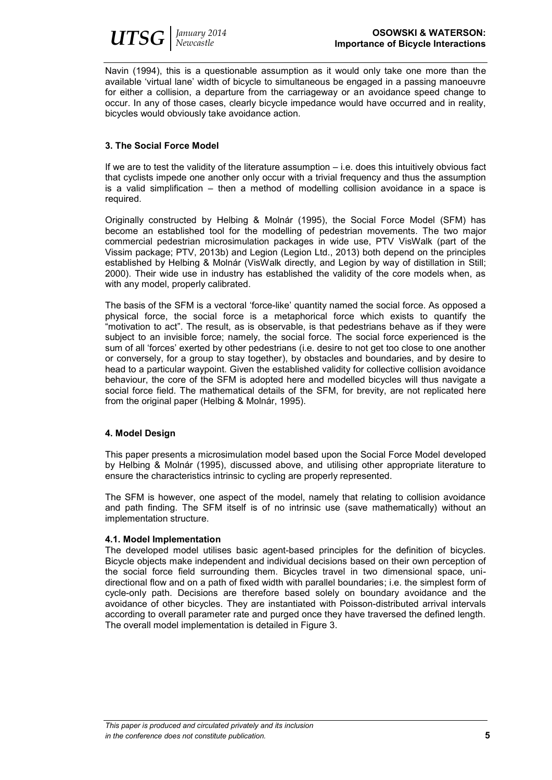

Navin (1994), this is a questionable assumption as it would only take one more than the available 'virtual lane' width of bicycle to simultaneous be engaged in a passing manoeuvre for either a collision, a departure from the carriageway or an avoidance speed change to occur. In any of those cases, clearly bicycle impedance would have occurred and in reality, bicycles would obviously take avoidance action.

## **3. The Social Force Model**

If we are to test the validity of the literature assumption – i.e. does this intuitively obvious fact that cyclists impede one another only occur with a trivial frequency and thus the assumption is a valid simplification – then a method of modelling collision avoidance in a space is required.

Originally constructed by Helbing & Molnár (1995), the Social Force Model (SFM) has become an established tool for the modelling of pedestrian movements. The two major commercial pedestrian microsimulation packages in wide use, PTV VisWalk (part of the Vissim package; PTV, 2013b) and Legion (Legion Ltd., 2013) both depend on the principles established by Helbing & Molnár (VisWalk directly, and Legion by way of distillation in Still; 2000). Their wide use in industry has established the validity of the core models when, as with any model, properly calibrated.

The basis of the SFM is a vectoral 'force-like' quantity named the social force. As opposed a physical force, the social force is a metaphorical force which exists to quantify the "motivation to act". The result, as is observable, is that pedestrians behave as if they were subject to an invisible force; namely, the social force. The social force experienced is the sum of all 'forces' exerted by other pedestrians (i.e. desire to not get too close to one another or conversely, for a group to stay together), by obstacles and boundaries, and by desire to head to a particular waypoint. Given the established validity for collective collision avoidance behaviour, the core of the SFM is adopted here and modelled bicycles will thus navigate a social force field. The mathematical details of the SFM, for brevity, are not replicated here from the original paper (Helbing & Molnár, 1995).

## **4. Model Design**

This paper presents a microsimulation model based upon the Social Force Model developed by Helbing & Molnár (1995), discussed above, and utilising other appropriate literature to ensure the characteristics intrinsic to cycling are properly represented.

The SFM is however, one aspect of the model, namely that relating to collision avoidance and path finding. The SFM itself is of no intrinsic use (save mathematically) without an implementation structure.

## **4.1. Model Implementation**

The developed model utilises basic agent-based principles for the definition of bicycles. Bicycle objects make independent and individual decisions based on their own perception of the social force field surrounding them. Bicycles travel in two dimensional space, unidirectional flow and on a path of fixed width with parallel boundaries; i.e. the simplest form of cycle-only path. Decisions are therefore based solely on boundary avoidance and the avoidance of other bicycles. They are instantiated with Poisson-distributed arrival intervals according to overall parameter rate and purged once they have traversed the defined length. The overall model implementation is detailed in Figure 3.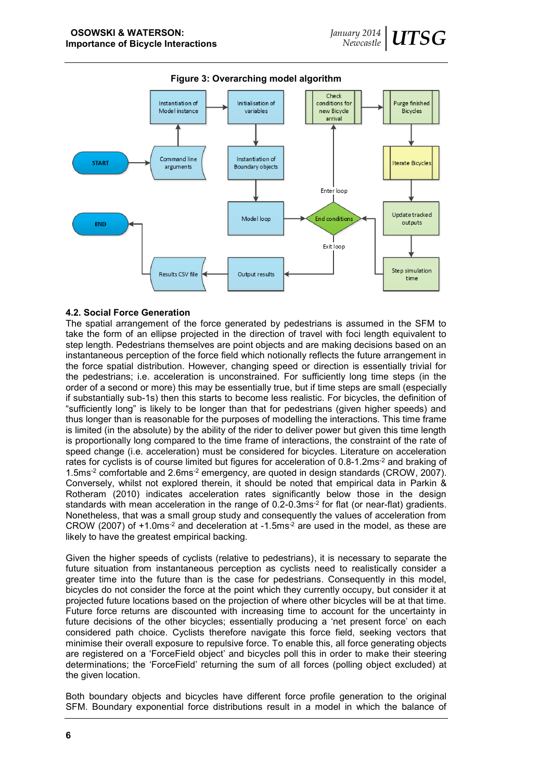

**Figure 3: Overarching model algorithm**

#### **4.2. Social Force Generation**

The spatial arrangement of the force generated by pedestrians is assumed in the SFM to take the form of an ellipse projected in the direction of travel with foci length equivalent to step length. Pedestrians themselves are point objects and are making decisions based on an instantaneous perception of the force field which notionally reflects the future arrangement in the force spatial distribution. However, changing speed or direction is essentially trivial for the pedestrians; i.e. acceleration is unconstrained. For sufficiently long time steps (in the order of a second or more) this may be essentially true, but if time steps are small (especially if substantially sub-1s) then this starts to become less realistic. For bicycles, the definition of "sufficiently long" is likely to be longer than that for pedestrians (given higher speeds) and thus longer than is reasonable for the purposes of modelling the interactions. This time frame is limited (in the absolute) by the ability of the rider to deliver power but given this time length is proportionally long compared to the time frame of interactions, the constraint of the rate of speed change (i.e. acceleration) must be considered for bicycles. Literature on acceleration rates for cyclists is of course limited but figures for acceleration of 0.8-1.2ms<sup>-2</sup> and braking of 1.5ms-2 comfortable and 2.6ms-2 emergency, are quoted in design standards (CROW, 2007). Conversely, whilst not explored therein, it should be noted that empirical data in Parkin & Rotheram (2010) indicates acceleration rates significantly below those in the design standards with mean acceleration in the range of 0.2-0.3ms<sup>-2</sup> for flat (or near-flat) gradients. Nonetheless, that was a small group study and consequently the values of acceleration from CROW (2007) of  $+1.0$ ms<sup>-2</sup> and deceleration at  $-1.5$ ms<sup>-2</sup> are used in the model, as these are likely to have the greatest empirical backing.

Given the higher speeds of cyclists (relative to pedestrians), it is necessary to separate the future situation from instantaneous perception as cyclists need to realistically consider a greater time into the future than is the case for pedestrians. Consequently in this model, bicycles do not consider the force at the point which they currently occupy, but consider it at projected future locations based on the projection of where other bicycles will be at that time. Future force returns are discounted with increasing time to account for the uncertainty in future decisions of the other bicycles; essentially producing a 'net present force' on each considered path choice. Cyclists therefore navigate this force field, seeking vectors that minimise their overall exposure to repulsive force. To enable this, all force generating objects are registered on a 'ForceField object' and bicycles poll this in order to make their steering determinations; the 'ForceField' returning the sum of all forces (polling object excluded) at the given location.

Both boundary objects and bicycles have different force profile generation to the original SFM. Boundary exponential force distributions result in a model in which the balance of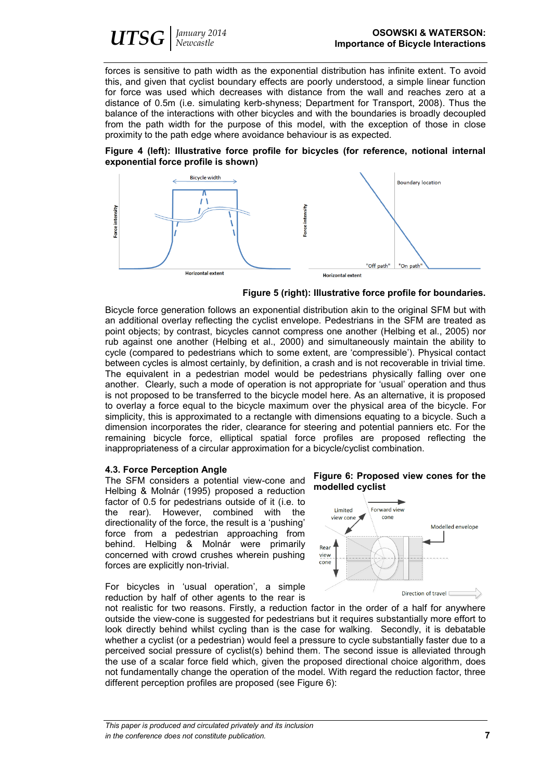

forces is sensitive to path width as the exponential distribution has infinite extent. To avoid this, and given that cyclist boundary effects are poorly understood, a simple linear function for force was used which decreases with distance from the wall and reaches zero at a distance of 0.5m (i.e. simulating kerb-shyness; Department for Transport, 2008). Thus the balance of the interactions with other bicycles and with the boundaries is broadly decoupled from the path width for the purpose of this model, with the exception of those in close proximity to the path edge where avoidance behaviour is as expected.





**Figure 5 (right): Illustrative force profile for boundaries.**

Bicycle force generation follows an exponential distribution akin to the original SFM but with an additional overlay reflecting the cyclist envelope. Pedestrians in the SFM are treated as point objects; by contrast, bicycles cannot compress one another (Helbing et al., 2005) nor rub against one another (Helbing et al., 2000) and simultaneously maintain the ability to cycle (compared to pedestrians which to some extent, are 'compressible'). Physical contact between cycles is almost certainly, by definition, a crash and is not recoverable in trivial time. The equivalent in a pedestrian model would be pedestrians physically falling over one another. Clearly, such a mode of operation is not appropriate for 'usual' operation and thus is not proposed to be transferred to the bicycle model here. As an alternative, it is proposed to overlay a force equal to the bicycle maximum over the physical area of the bicycle. For simplicity, this is approximated to a rectangle with dimensions equating to a bicycle. Such a dimension incorporates the rider, clearance for steering and potential panniers etc. For the remaining bicycle force, elliptical spatial force profiles are proposed reflecting the inappropriateness of a circular approximation for a bicycle/cyclist combination.

#### **4.3. Force Perception Angle**

The SFM considers a potential view-cone and Helbing & Molnár (1995) proposed a reduction factor of 0.5 for pedestrians outside of it (i.e. to the rear). However, combined with the directionality of the force, the result is a 'pushing' force from a pedestrian approaching from behind. Helbing & Molnár were primarily concerned with crowd crushes wherein pushing forces are explicitly non-trivial.

For bicycles in 'usual operation', a simple reduction by half of other agents to the rear is





not realistic for two reasons. Firstly, a reduction factor in the order of a half for anywhere outside the view-cone is suggested for pedestrians but it requires substantially more effort to look directly behind whilst cycling than is the case for walking. Secondly, it is debatable whether a cyclist (or a pedestrian) would feel a pressure to cycle substantially faster due to a perceived social pressure of cyclist(s) behind them. The second issue is alleviated through the use of a scalar force field which, given the proposed directional choice algorithm, does not fundamentally change the operation of the model. With regard the reduction factor, three different perception profiles are proposed (see Figure 6):

*This paper is produced and circulated privately and its inclusion in the conference does not constitute publication.* **7**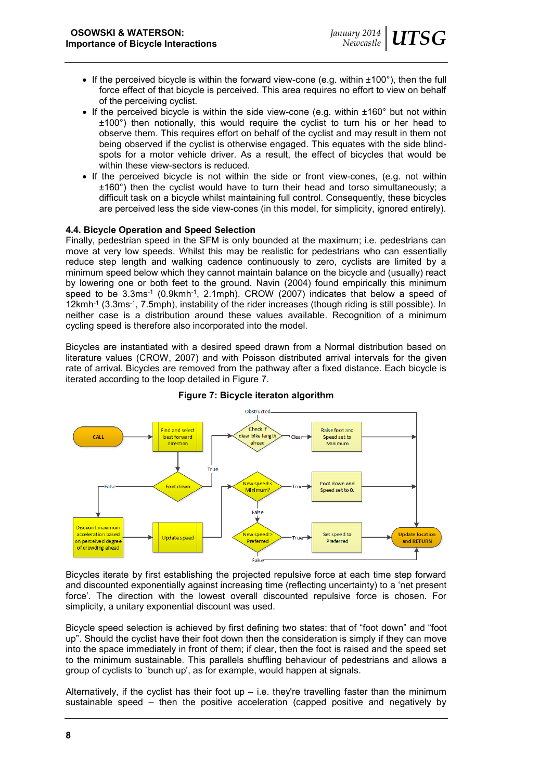- If the perceived bicycle is within the forward view-cone (e.g. within  $\pm 100^\circ$ ), then the full force effect of that bicycle is perceived. This area requires no effort to view on behalf of the perceiving cyclist.
- If the perceived bicycle is within the side view-cone (e.g. within  $\pm 160^\circ$  but not within ±100°) then notionally, this would require the cyclist to turn his or her head to observe them. This requires effort on behalf of the cyclist and may result in them not being observed if the cyclist is otherwise engaged. This equates with the side blindspots for a motor vehicle driver. As a result, the effect of bicycles that would be within these view-sectors is reduced.
- If the perceived bicycle is not within the side or front view-cones, (e.g. not within ±160°) then the cyclist would have to turn their head and torso simultaneously; a difficult task on a bicycle whilst maintaining full control. Consequently, these bicycles are perceived less the side view-cones (in this model, for simplicity, ignored entirely).

## **4.4. Bicycle Operation and Speed Selection**

Finally, pedestrian speed in the SFM is only bounded at the maximum; i.e. pedestrians can move at very low speeds. Whilst this may be realistic for pedestrians who can essentially reduce step length and walking cadence continuously to zero, cyclists are limited by a minimum speed below which they cannot maintain balance on the bicycle and (usually) react by lowering one or both feet to the ground. Navin (2004) found empirically this minimum speed to be 3.3ms<sup>-1</sup> (0.9kmh<sup>-1</sup>, 2.1mph). CROW (2007) indicates that below a speed of 12kmh-1 (3.3ms-1 , 7.5mph), instability of the rider increases (though riding is still possible). In neither case is a distribution around these values available. Recognition of a minimum cycling speed is therefore also incorporated into the model.

Bicycles are instantiated with a desired speed drawn from a Normal distribution based on literature values (CROW, 2007) and with Poisson distributed arrival intervals for the given rate of arrival. Bicycles are removed from the pathway after a fixed distance. Each bicycle is iterated according to the loop detailed in Figure 7.



**Figure 7: Bicycle iteraton algorithm**

Bicycles iterate by first establishing the projected repulsive force at each time step forward and discounted exponentially against increasing time (reflecting uncertainty) to a 'net present force'. The direction with the lowest overall discounted repulsive force is chosen. For simplicity, a unitary exponential discount was used.

Bicycle speed selection is achieved by first defining two states: that of "foot down" and "foot up". Should the cyclist have their foot down then the consideration is simply if they can move into the space immediately in front of them; if clear, then the foot is raised and the speed set to the minimum sustainable. This parallels shuffling behaviour of pedestrians and allows a group of cyclists to `bunch up', as for example, would happen at signals.

Alternatively, if the cyclist has their foot up  $-$  i.e. they're travelling faster than the minimum sustainable speed – then the positive acceleration (capped positive and negatively by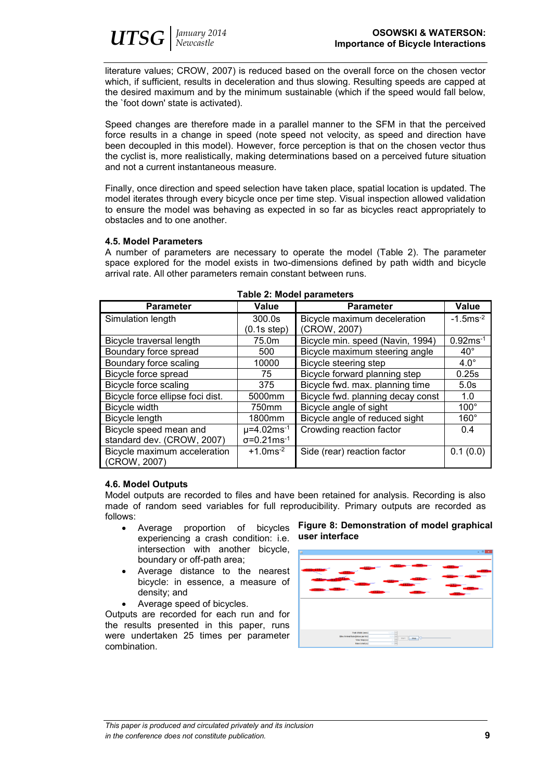literature values; CROW, 2007) is reduced based on the overall force on the chosen vector which, if sufficient, results in deceleration and thus slowing. Resulting speeds are capped at the desired maximum and by the minimum sustainable (which if the speed would fall below, the `foot down' state is activated).

Speed changes are therefore made in a parallel manner to the SFM in that the perceived force results in a change in speed (note speed not velocity, as speed and direction have been decoupled in this model). However, force perception is that on the chosen vector thus the cyclist is, more realistically, making determinations based on a perceived future situation and not a current instantaneous measure.

Finally, once direction and speed selection have taken place, spatial location is updated. The model iterates through every bicycle once per time step. Visual inspection allowed validation to ensure the model was behaving as expected in so far as bicycles react appropriately to obstacles and to one another.

## **4.5. Model Parameters**

A number of parameters are necessary to operate the model (Table 2). The parameter space explored for the model exists in two-dimensions defined by path width and bicycle arrival rate. All other parameters remain constant between runs.

| TAMIC 4. MUUCI PATAITICLUI S     |                                  |                                   |                         |  |  |  |
|----------------------------------|----------------------------------|-----------------------------------|-------------------------|--|--|--|
| <b>Parameter</b>                 | Value                            | <b>Parameter</b>                  | Value                   |  |  |  |
| Simulation length                | 300.0s                           | Bicycle maximum deceleration      | $-1.5$ ms <sup>-2</sup> |  |  |  |
|                                  | (0.1s step)                      | (CROW, 2007)                      |                         |  |  |  |
| Bicycle traversal length         | 75.0m                            | Bicycle min. speed (Navin, 1994)  | $0.92ms^{-1}$           |  |  |  |
| Boundary force spread            | 500                              | Bicycle maximum steering angle    | $40^{\circ}$            |  |  |  |
| Boundary force scaling           | 10000                            | Bicycle steering step             | $4.0^\circ$             |  |  |  |
| Bicycle force spread             | 75                               | Bicycle forward planning step     | 0.25s                   |  |  |  |
| <b>Bicycle force scaling</b>     | 375                              | Bicycle fwd. max. planning time   | 5.0s                    |  |  |  |
| Bicycle force ellipse foci dist. | 5000mm                           | Bicycle fwd. planning decay const | 1.0                     |  |  |  |
| Bicycle width                    | 750mm                            | Bicycle angle of sight            | $100^\circ$             |  |  |  |
| Bicycle length                   | 1800mm                           | Bicycle angle of reduced sight    | $160^\circ$             |  |  |  |
| Bicycle speed mean and           | $\mu$ =4.02ms <sup>-1</sup>      | Crowding reaction factor          | 0.4                     |  |  |  |
| standard dev. (CROW, 2007)       | $\sigma = 0.21$ ms <sup>-1</sup> |                                   |                         |  |  |  |
| Bicycle maximum acceleration     | $+1.0$ ms <sup>-2</sup>          | Side (rear) reaction factor       | 0.1(0.0)                |  |  |  |
| (CROW, 2007)                     |                                  |                                   |                         |  |  |  |

## **Table 2: Model parameters**

## **4.6. Model Outputs**

Model outputs are recorded to files and have been retained for analysis. Recording is also made of random seed variables for full reproducibility. Primary outputs are recorded as follows:

- Average proportion of bicycles experiencing a crash condition: i.e. intersection with another bicycle, boundary or off-path area;
- Average distance to the nearest bicycle: in essence, a measure of density; and
- Average speed of bicycles.

Outputs are recorded for each run and for the results presented in this paper, runs were undertaken 25 times per parameter combination.

## **Figure 8: Demonstration of model graphical user interface**

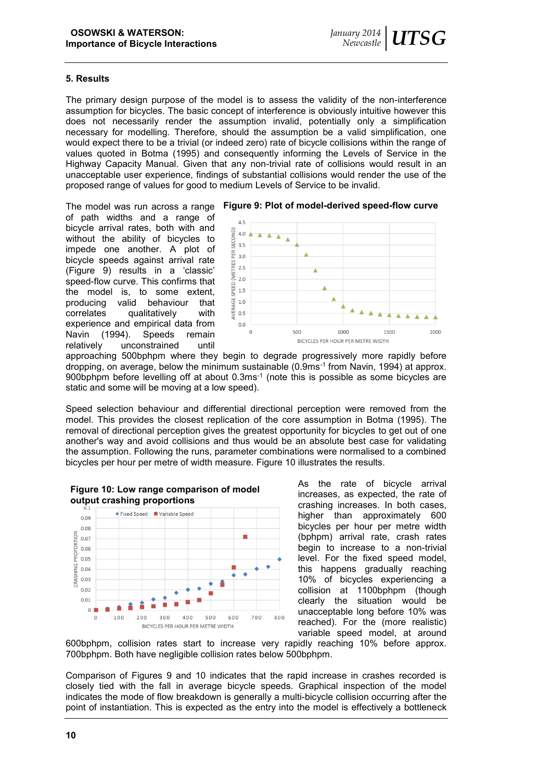#### **5. Results**

The primary design purpose of the model is to assess the validity of the non-interference assumption for bicycles. The basic concept of interference is obviously intuitive however this does not necessarily render the assumption invalid, potentially only a simplification necessary for modelling. Therefore, should the assumption be a valid simplification, one would expect there to be a trivial (or indeed zero) rate of bicycle collisions within the range of values quoted in Botma (1995) and consequently informing the Levels of Service in the Highway Capacity Manual. Given that any non-trivial rate of collisions would result in an unacceptable user experience, findings of substantial collisions would render the use of the proposed range of values for good to medium Levels of Service to be invalid.

The model was run across a range **Figure 9: Plot of model-derived speed-flow curve** of path widths and a range of bicycle arrival rates, both with and without the ability of bicycles to impede one another. A plot of bicycle speeds against arrival rate (Figure 9) results in a 'classic' speed-flow curve. This confirms that the model is, to some extent, producing valid behaviour that<br>correlates qualitatively with correlates qualitatively experience and empirical data from Navin (1994). Speeds remain relatively unconstrained until



approaching 500bphpm where they begin to degrade progressively more rapidly before dropping, on average, below the minimum sustainable (0.9ms-1 from Navin, 1994) at approx. 900bphpm before levelling off at about 0.3ms-1 (note this is possible as some bicycles are static and some will be moving at a low speed).

Speed selection behaviour and differential directional perception were removed from the model. This provides the closest replication of the core assumption in Botma (1995). The removal of directional perception gives the greatest opportunity for bicycles to get out of one another's way and avoid collisions and thus would be an absolute best case for validating the assumption. Following the runs, parameter combinations were normalised to a combined bicycles per hour per metre of width measure. Figure 10 illustrates the results.





As the rate of bicycle arrival increases, as expected, the rate of crashing increases. In both cases, higher than approximately 600 bicycles per hour per metre width (bphpm) arrival rate, crash rates begin to increase to a non-trivial level. For the fixed speed model, this happens gradually reaching 10% of bicycles experiencing a collision at 1100bphpm (though clearly the situation would be unacceptable long before 10% was reached). For the (more realistic) variable speed model, at around

600bphpm, collision rates start to increase very rapidly reaching 10% before approx. 700bphpm. Both have negligible collision rates below 500bphpm.

Comparison of Figures 9 and 10 indicates that the rapid increase in crashes recorded is closely tied with the fall in average bicycle speeds. Graphical inspection of the model indicates the mode of flow breakdown is generally a multi-bicycle collision occurring after the point of instantiation. This is expected as the entry into the model is effectively a bottleneck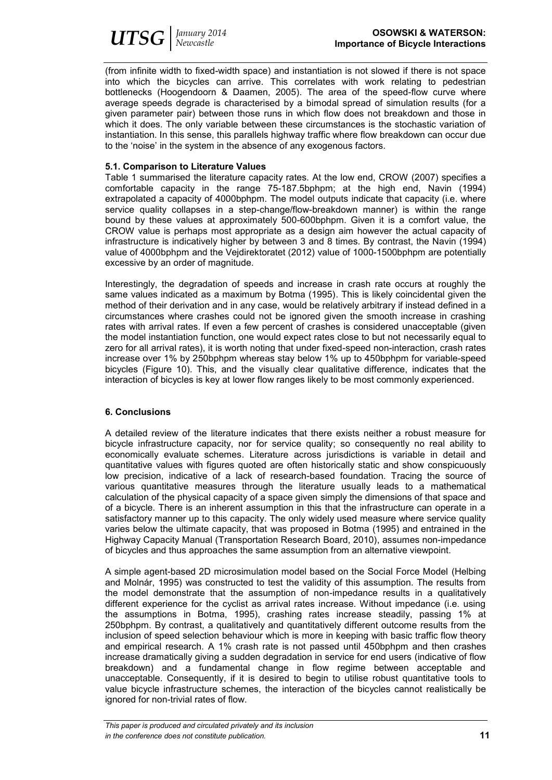

(from infinite width to fixed-width space) and instantiation is not slowed if there is not space into which the bicycles can arrive. This correlates with work relating to pedestrian bottlenecks (Hoogendoorn & Daamen, 2005). The area of the speed-flow curve where average speeds degrade is characterised by a bimodal spread of simulation results (for a given parameter pair) between those runs in which flow does not breakdown and those in which it does. The only variable between these circumstances is the stochastic variation of instantiation. In this sense, this parallels highway traffic where flow breakdown can occur due to the 'noise' in the system in the absence of any exogenous factors.

## **5.1. Comparison to Literature Values**

Table 1 summarised the literature capacity rates. At the low end, CROW (2007) specifies a comfortable capacity in the range 75-187.5bphpm; at the high end, Navin (1994) extrapolated a capacity of 4000bphpm. The model outputs indicate that capacity (i.e. where service quality collapses in a step-change/flow-breakdown manner) is within the range bound by these values at approximately 500-600bphpm. Given it is a comfort value, the CROW value is perhaps most appropriate as a design aim however the actual capacity of infrastructure is indicatively higher by between 3 and 8 times. By contrast, the Navin (1994) value of 4000bphpm and the Vejdirektoratet (2012) value of 1000-1500bphpm are potentially excessive by an order of magnitude.

Interestingly, the degradation of speeds and increase in crash rate occurs at roughly the same values indicated as a maximum by Botma (1995). This is likely coincidental given the method of their derivation and in any case, would be relatively arbitrary if instead defined in a circumstances where crashes could not be ignored given the smooth increase in crashing rates with arrival rates. If even a few percent of crashes is considered unacceptable (given the model instantiation function, one would expect rates close to but not necessarily equal to zero for all arrival rates), it is worth noting that under fixed-speed non-interaction, crash rates increase over 1% by 250bphpm whereas stay below 1% up to 450bphpm for variable-speed bicycles (Figure 10). This, and the visually clear qualitative difference, indicates that the interaction of bicycles is key at lower flow ranges likely to be most commonly experienced.

## **6. Conclusions**

A detailed review of the literature indicates that there exists neither a robust measure for bicycle infrastructure capacity, nor for service quality; so consequently no real ability to economically evaluate schemes. Literature across jurisdictions is variable in detail and quantitative values with figures quoted are often historically static and show conspicuously low precision, indicative of a lack of research-based foundation. Tracing the source of various quantitative measures through the literature usually leads to a mathematical calculation of the physical capacity of a space given simply the dimensions of that space and of a bicycle. There is an inherent assumption in this that the infrastructure can operate in a satisfactory manner up to this capacity. The only widely used measure where service quality varies below the ultimate capacity, that was proposed in Botma (1995) and entrained in the Highway Capacity Manual (Transportation Research Board, 2010), assumes non-impedance of bicycles and thus approaches the same assumption from an alternative viewpoint.

A simple agent-based 2D microsimulation model based on the Social Force Model (Helbing and Molnár, 1995) was constructed to test the validity of this assumption. The results from the model demonstrate that the assumption of non-impedance results in a qualitatively different experience for the cyclist as arrival rates increase. Without impedance (i.e. using the assumptions in Botma, 1995), crashing rates increase steadily, passing 1% at 250bphpm. By contrast, a qualitatively and quantitatively different outcome results from the inclusion of speed selection behaviour which is more in keeping with basic traffic flow theory and empirical research. A 1% crash rate is not passed until 450bphpm and then crashes increase dramatically giving a sudden degradation in service for end users (indicative of flow breakdown) and a fundamental change in flow regime between acceptable and unacceptable. Consequently, if it is desired to begin to utilise robust quantitative tools to value bicycle infrastructure schemes, the interaction of the bicycles cannot realistically be ignored for non-trivial rates of flow.

*This paper is produced and circulated privately and its inclusion in the conference does not constitute publication.* **11**